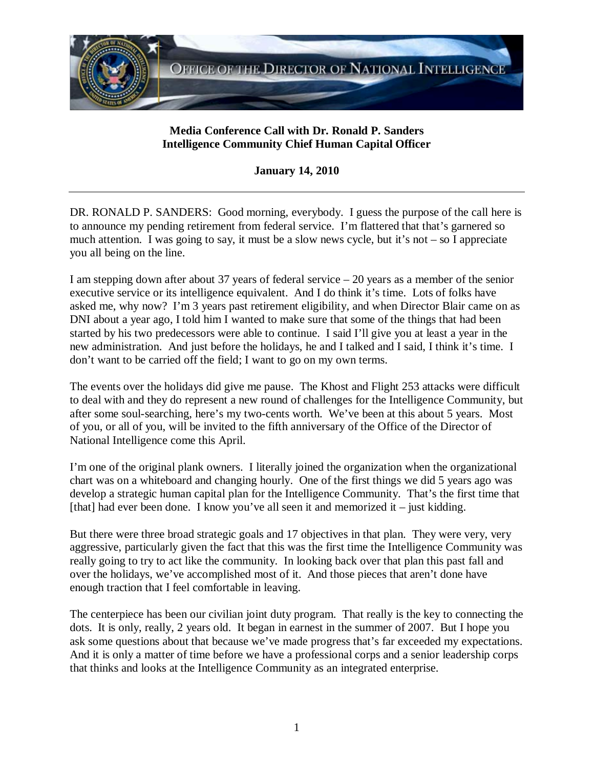

## **Media Conference Call with Dr. Ronald P. Sanders Intelligence Community Chief Human Capital Officer**

**January 14, 2010** 

DR. RONALD P. SANDERS: Good morning, everybody. I guess the purpose of the call here is to announce my pending retirement from federal service. I'm flattered that that's garnered so much attention. I was going to say, it must be a slow news cycle, but it's not – so I appreciate you all being on the line.

I am stepping down after about 37 years of federal service – 20 years as a member of the senior executive service or its intelligence equivalent. And I do think it's time. Lots of folks have asked me, why now? I'm 3 years past retirement eligibility, and when Director Blair came on as DNI about a year ago, I told him I wanted to make sure that some of the things that had been started by his two predecessors were able to continue. I said I'll give you at least a year in the new administration. And just before the holidays, he and I talked and I said, I think it's time. I don't want to be carried off the field; I want to go on my own terms.

The events over the holidays did give me pause. The Khost and Flight 253 attacks were difficult to deal with and they do represent a new round of challenges for the Intelligence Community, but after some soul-searching, here's my two-cents worth. We've been at this about 5 years. Most of you, or all of you, will be invited to the fifth anniversary of the Office of the Director of National Intelligence come this April.

I'm one of the original plank owners. I literally joined the organization when the organizational chart was on a whiteboard and changing hourly. One of the first things we did 5 years ago was develop a strategic human capital plan for the Intelligence Community. That's the first time that [that] had ever been done. I know you've all seen it and memorized it – just kidding.

But there were three broad strategic goals and 17 objectives in that plan. They were very, very aggressive, particularly given the fact that this was the first time the Intelligence Community was really going to try to act like the community. In looking back over that plan this past fall and over the holidays, we've accomplished most of it. And those pieces that aren't done have enough traction that I feel comfortable in leaving.

The centerpiece has been our civilian joint duty program. That really is the key to connecting the dots. It is only, really, 2 years old. It began in earnest in the summer of 2007. But I hope you ask some questions about that because we've made progress that's far exceeded my expectations. And it is only a matter of time before we have a professional corps and a senior leadership corps that thinks and looks at the Intelligence Community as an integrated enterprise.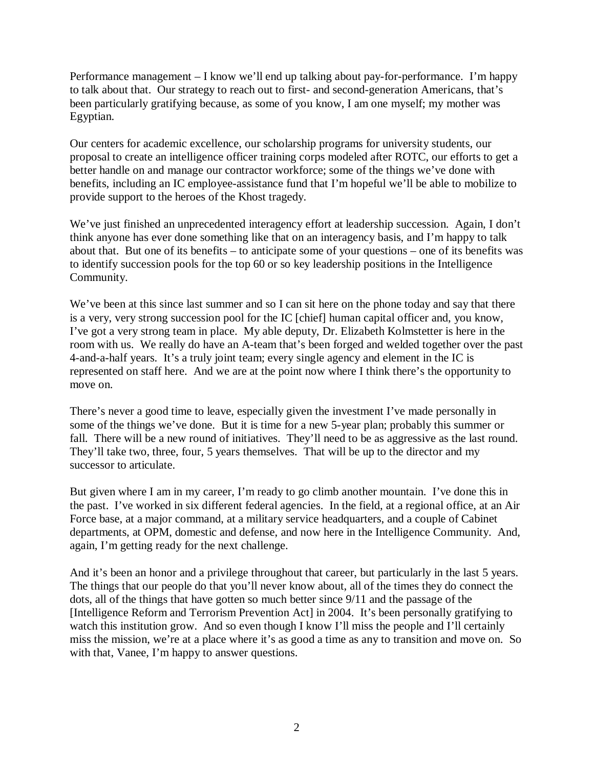Performance management – I know we'll end up talking about pay-for-performance. I'm happy to talk about that. Our strategy to reach out to first- and second-generation Americans, that's been particularly gratifying because, as some of you know, I am one myself; my mother was Egyptian.

Our centers for academic excellence, our scholarship programs for university students, our proposal to create an intelligence officer training corps modeled after ROTC, our efforts to get a better handle on and manage our contractor workforce; some of the things we've done with benefits, including an IC employee-assistance fund that I'm hopeful we'll be able to mobilize to provide support to the heroes of the Khost tragedy.

We've just finished an unprecedented interagency effort at leadership succession. Again, I don't think anyone has ever done something like that on an interagency basis, and I'm happy to talk about that. But one of its benefits – to anticipate some of your questions – one of its benefits was to identify succession pools for the top 60 or so key leadership positions in the Intelligence Community.

We've been at this since last summer and so I can sit here on the phone today and say that there is a very, very strong succession pool for the IC [chief] human capital officer and, you know, I've got a very strong team in place. My able deputy, Dr. Elizabeth Kolmstetter is here in the room with us. We really do have an A-team that's been forged and welded together over the past 4-and-a-half years. It's a truly joint team; every single agency and element in the IC is represented on staff here. And we are at the point now where I think there's the opportunity to move on.

There's never a good time to leave, especially given the investment I've made personally in some of the things we've done. But it is time for a new 5-year plan; probably this summer or fall. There will be a new round of initiatives. They'll need to be as aggressive as the last round. They'll take two, three, four, 5 years themselves. That will be up to the director and my successor to articulate.

But given where I am in my career, I'm ready to go climb another mountain. I've done this in the past. I've worked in six different federal agencies. In the field, at a regional office, at an Air Force base, at a major command, at a military service headquarters, and a couple of Cabinet departments, at OPM, domestic and defense, and now here in the Intelligence Community. And, again, I'm getting ready for the next challenge.

And it's been an honor and a privilege throughout that career, but particularly in the last 5 years. The things that our people do that you'll never know about, all of the times they do connect the dots, all of the things that have gotten so much better since 9/11 and the passage of the [Intelligence Reform and Terrorism Prevention Act] in 2004. It's been personally gratifying to watch this institution grow. And so even though I know I'll miss the people and I'll certainly miss the mission, we're at a place where it's as good a time as any to transition and move on. So with that, Vanee, I'm happy to answer questions.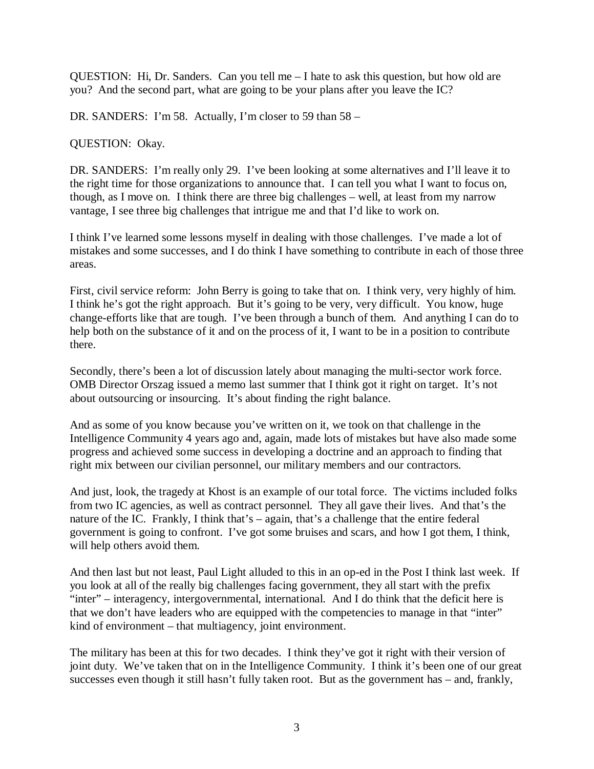QUESTION: Hi, Dr. Sanders. Can you tell me – I hate to ask this question, but how old are you? And the second part, what are going to be your plans after you leave the IC?

DR. SANDERS: I'm 58. Actually, I'm closer to 59 than 58 –

QUESTION: Okay.

DR. SANDERS: I'm really only 29. I've been looking at some alternatives and I'll leave it to the right time for those organizations to announce that. I can tell you what I want to focus on, though, as I move on. I think there are three big challenges – well, at least from my narrow vantage, I see three big challenges that intrigue me and that I'd like to work on.

I think I've learned some lessons myself in dealing with those challenges. I've made a lot of mistakes and some successes, and I do think I have something to contribute in each of those three areas.

First, civil service reform: John Berry is going to take that on. I think very, very highly of him. I think he's got the right approach. But it's going to be very, very difficult. You know, huge change-efforts like that are tough. I've been through a bunch of them. And anything I can do to help both on the substance of it and on the process of it, I want to be in a position to contribute there.

Secondly, there's been a lot of discussion lately about managing the multi-sector work force. OMB Director Orszag issued a memo last summer that I think got it right on target. It's not about outsourcing or insourcing. It's about finding the right balance.

And as some of you know because you've written on it, we took on that challenge in the Intelligence Community 4 years ago and, again, made lots of mistakes but have also made some progress and achieved some success in developing a doctrine and an approach to finding that right mix between our civilian personnel, our military members and our contractors.

And just, look, the tragedy at Khost is an example of our total force. The victims included folks from two IC agencies, as well as contract personnel. They all gave their lives. And that's the nature of the IC. Frankly, I think that's – again, that's a challenge that the entire federal government is going to confront. I've got some bruises and scars, and how I got them, I think, will help others avoid them.

And then last but not least, Paul Light alluded to this in an op-ed in the Post I think last week. If you look at all of the really big challenges facing government, they all start with the prefix "inter" – interagency, intergovernmental, international. And I do think that the deficit here is that we don't have leaders who are equipped with the competencies to manage in that "inter" kind of environment – that multiagency, joint environment.

The military has been at this for two decades. I think they've got it right with their version of joint duty. We've taken that on in the Intelligence Community. I think it's been one of our great successes even though it still hasn't fully taken root. But as the government has – and, frankly,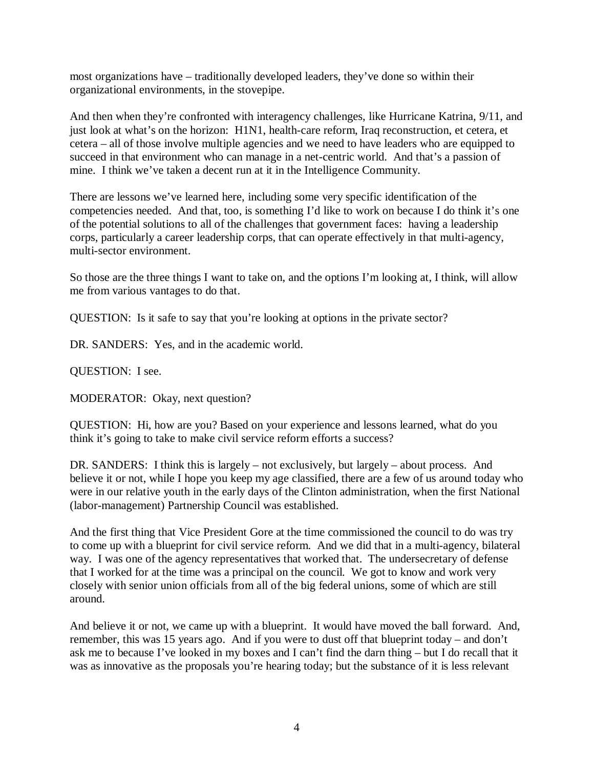most organizations have – traditionally developed leaders, they've done so within their organizational environments, in the stovepipe.

And then when they're confronted with interagency challenges, like Hurricane Katrina, 9/11, and just look at what's on the horizon: H1N1, health-care reform, Iraq reconstruction, et cetera, et cetera – all of those involve multiple agencies and we need to have leaders who are equipped to succeed in that environment who can manage in a net-centric world. And that's a passion of mine. I think we've taken a decent run at it in the Intelligence Community.

There are lessons we've learned here, including some very specific identification of the competencies needed. And that, too, is something I'd like to work on because I do think it's one of the potential solutions to all of the challenges that government faces: having a leadership corps, particularly a career leadership corps, that can operate effectively in that multi-agency, multi-sector environment.

So those are the three things I want to take on, and the options I'm looking at, I think, will allow me from various vantages to do that.

QUESTION: Is it safe to say that you're looking at options in the private sector?

DR. SANDERS: Yes, and in the academic world.

QUESTION: I see.

MODERATOR: Okay, next question?

QUESTION: Hi, how are you? Based on your experience and lessons learned, what do you think it's going to take to make civil service reform efforts a success?

DR. SANDERS: I think this is largely – not exclusively, but largely – about process. And believe it or not, while I hope you keep my age classified, there are a few of us around today who were in our relative youth in the early days of the Clinton administration, when the first National (labor-management) Partnership Council was established.

And the first thing that Vice President Gore at the time commissioned the council to do was try to come up with a blueprint for civil service reform. And we did that in a multi-agency, bilateral way. I was one of the agency representatives that worked that. The undersecretary of defense that I worked for at the time was a principal on the council. We got to know and work very closely with senior union officials from all of the big federal unions, some of which are still around.

And believe it or not, we came up with a blueprint. It would have moved the ball forward. And, remember, this was 15 years ago. And if you were to dust off that blueprint today – and don't ask me to because I've looked in my boxes and I can't find the darn thing – but I do recall that it was as innovative as the proposals you're hearing today; but the substance of it is less relevant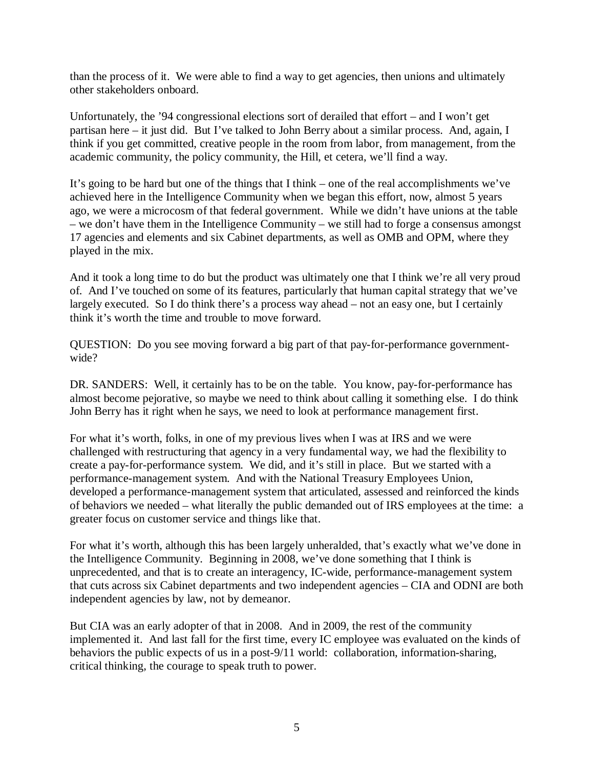than the process of it. We were able to find a way to get agencies, then unions and ultimately other stakeholders onboard.

Unfortunately, the '94 congressional elections sort of derailed that effort – and I won't get partisan here – it just did. But I've talked to John Berry about a similar process. And, again, I think if you get committed, creative people in the room from labor, from management, from the academic community, the policy community, the Hill, et cetera, we'll find a way.

It's going to be hard but one of the things that I think – one of the real accomplishments we've achieved here in the Intelligence Community when we began this effort, now, almost 5 years ago, we were a microcosm of that federal government. While we didn't have unions at the table – we don't have them in the Intelligence Community – we still had to forge a consensus amongst 17 agencies and elements and six Cabinet departments, as well as OMB and OPM, where they played in the mix.

And it took a long time to do but the product was ultimately one that I think we're all very proud of. And I've touched on some of its features, particularly that human capital strategy that we've largely executed. So I do think there's a process way ahead – not an easy one, but I certainly think it's worth the time and trouble to move forward.

QUESTION: Do you see moving forward a big part of that pay-for-performance governmentwide?

DR. SANDERS: Well, it certainly has to be on the table. You know, pay-for-performance has almost become pejorative, so maybe we need to think about calling it something else. I do think John Berry has it right when he says, we need to look at performance management first.

For what it's worth, folks, in one of my previous lives when I was at IRS and we were challenged with restructuring that agency in a very fundamental way, we had the flexibility to create a pay-for-performance system. We did, and it's still in place. But we started with a performance-management system. And with the National Treasury Employees Union, developed a performance-management system that articulated, assessed and reinforced the kinds of behaviors we needed – what literally the public demanded out of IRS employees at the time: a greater focus on customer service and things like that.

For what it's worth, although this has been largely unheralded, that's exactly what we've done in the Intelligence Community. Beginning in 2008, we've done something that I think is unprecedented, and that is to create an interagency, IC-wide, performance-management system that cuts across six Cabinet departments and two independent agencies – CIA and ODNI are both independent agencies by law, not by demeanor.

But CIA was an early adopter of that in 2008. And in 2009, the rest of the community implemented it. And last fall for the first time, every IC employee was evaluated on the kinds of behaviors the public expects of us in a post-9/11 world: collaboration, information-sharing, critical thinking, the courage to speak truth to power.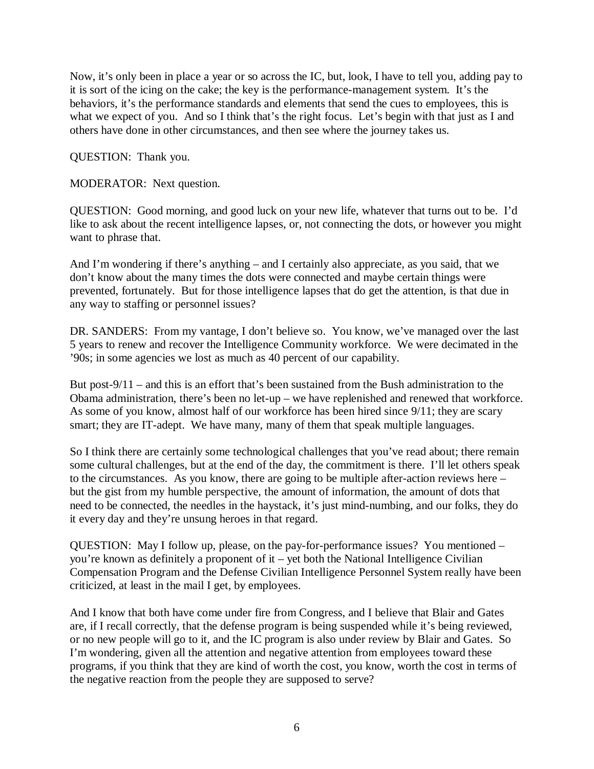Now, it's only been in place a year or so across the IC, but, look, I have to tell you, adding pay to it is sort of the icing on the cake; the key is the performance-management system. It's the behaviors, it's the performance standards and elements that send the cues to employees, this is what we expect of you. And so I think that's the right focus. Let's begin with that just as I and others have done in other circumstances, and then see where the journey takes us.

QUESTION: Thank you.

MODERATOR: Next question.

QUESTION: Good morning, and good luck on your new life, whatever that turns out to be. I'd like to ask about the recent intelligence lapses, or, not connecting the dots, or however you might want to phrase that.

And I'm wondering if there's anything – and I certainly also appreciate, as you said, that we don't know about the many times the dots were connected and maybe certain things were prevented, fortunately. But for those intelligence lapses that do get the attention, is that due in any way to staffing or personnel issues?

DR. SANDERS: From my vantage, I don't believe so. You know, we've managed over the last 5 years to renew and recover the Intelligence Community workforce. We were decimated in the '90s; in some agencies we lost as much as 40 percent of our capability.

But post-9/11 – and this is an effort that's been sustained from the Bush administration to the Obama administration, there's been no let-up – we have replenished and renewed that workforce. As some of you know, almost half of our workforce has been hired since 9/11; they are scary smart; they are IT-adept. We have many, many of them that speak multiple languages.

So I think there are certainly some technological challenges that you've read about; there remain some cultural challenges, but at the end of the day, the commitment is there. I'll let others speak to the circumstances. As you know, there are going to be multiple after-action reviews here – but the gist from my humble perspective, the amount of information, the amount of dots that need to be connected, the needles in the haystack, it's just mind-numbing, and our folks, they do it every day and they're unsung heroes in that regard.

QUESTION: May I follow up, please, on the pay-for-performance issues? You mentioned – you're known as definitely a proponent of it – yet both the National Intelligence Civilian Compensation Program and the Defense Civilian Intelligence Personnel System really have been criticized, at least in the mail I get, by employees.

And I know that both have come under fire from Congress, and I believe that Blair and Gates are, if I recall correctly, that the defense program is being suspended while it's being reviewed, or no new people will go to it, and the IC program is also under review by Blair and Gates. So I'm wondering, given all the attention and negative attention from employees toward these programs, if you think that they are kind of worth the cost, you know, worth the cost in terms of the negative reaction from the people they are supposed to serve?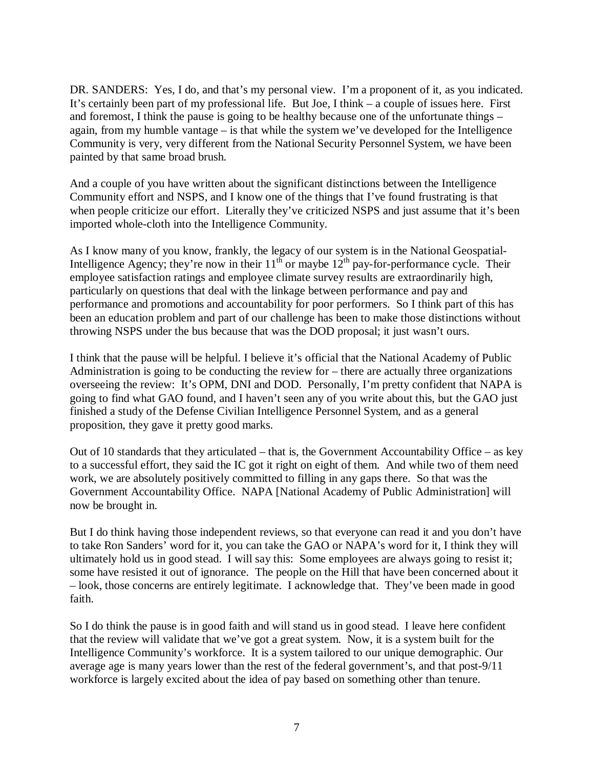DR. SANDERS: Yes, I do, and that's my personal view. I'm a proponent of it, as you indicated. It's certainly been part of my professional life. But Joe, I think – a couple of issues here. First and foremost, I think the pause is going to be healthy because one of the unfortunate things – again, from my humble vantage – is that while the system we've developed for the Intelligence Community is very, very different from the National Security Personnel System, we have been painted by that same broad brush.

And a couple of you have written about the significant distinctions between the Intelligence Community effort and NSPS, and I know one of the things that I've found frustrating is that when people criticize our effort. Literally they've criticized NSPS and just assume that it's been imported whole-cloth into the Intelligence Community.

As I know many of you know, frankly, the legacy of our system is in the National Geospatial-Intelligence Agency; they're now in their  $11^{th}$  or maybe  $12^{th}$  pay-for-performance cycle. Their employee satisfaction ratings and employee climate survey results are extraordinarily high, particularly on questions that deal with the linkage between performance and pay and performance and promotions and accountability for poor performers. So I think part of this has been an education problem and part of our challenge has been to make those distinctions without throwing NSPS under the bus because that was the DOD proposal; it just wasn't ours.

I think that the pause will be helpful. I believe it's official that the National Academy of Public Administration is going to be conducting the review for – there are actually three organizations overseeing the review: It's OPM, DNI and DOD. Personally, I'm pretty confident that NAPA is going to find what GAO found, and I haven't seen any of you write about this, but the GAO just finished a study of the Defense Civilian Intelligence Personnel System, and as a general proposition, they gave it pretty good marks.

Out of 10 standards that they articulated – that is, the Government Accountability Office – as key to a successful effort, they said the IC got it right on eight of them. And while two of them need work, we are absolutely positively committed to filling in any gaps there. So that was the Government Accountability Office. NAPA [National Academy of Public Administration] will now be brought in.

But I do think having those independent reviews, so that everyone can read it and you don't have to take Ron Sanders' word for it, you can take the GAO or NAPA's word for it, I think they will ultimately hold us in good stead. I will say this: Some employees are always going to resist it; some have resisted it out of ignorance. The people on the Hill that have been concerned about it – look, those concerns are entirely legitimate. I acknowledge that. They've been made in good faith.

So I do think the pause is in good faith and will stand us in good stead. I leave here confident that the review will validate that we've got a great system. Now, it is a system built for the Intelligence Community's workforce. It is a system tailored to our unique demographic. Our average age is many years lower than the rest of the federal government's, and that post-9/11 workforce is largely excited about the idea of pay based on something other than tenure.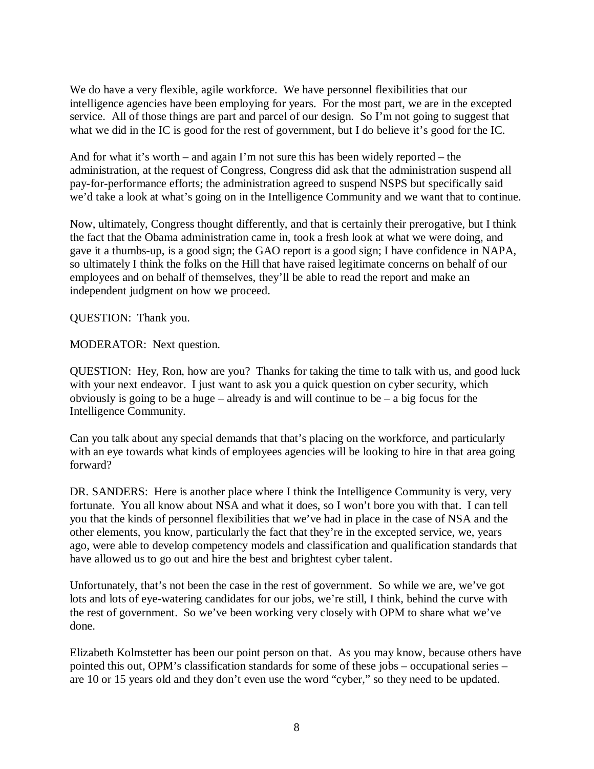We do have a very flexible, agile workforce. We have personnel flexibilities that our intelligence agencies have been employing for years. For the most part, we are in the excepted service. All of those things are part and parcel of our design. So I'm not going to suggest that what we did in the IC is good for the rest of government, but I do believe it's good for the IC.

And for what it's worth – and again I'm not sure this has been widely reported – the administration, at the request of Congress, Congress did ask that the administration suspend all pay-for-performance efforts; the administration agreed to suspend NSPS but specifically said we'd take a look at what's going on in the Intelligence Community and we want that to continue.

Now, ultimately, Congress thought differently, and that is certainly their prerogative, but I think the fact that the Obama administration came in, took a fresh look at what we were doing, and gave it a thumbs-up, is a good sign; the GAO report is a good sign; I have confidence in NAPA, so ultimately I think the folks on the Hill that have raised legitimate concerns on behalf of our employees and on behalf of themselves, they'll be able to read the report and make an independent judgment on how we proceed.

QUESTION: Thank you.

MODERATOR: Next question.

QUESTION: Hey, Ron, how are you? Thanks for taking the time to talk with us, and good luck with your next endeavor. I just want to ask you a quick question on cyber security, which obviously is going to be a huge – already is and will continue to be – a big focus for the Intelligence Community.

Can you talk about any special demands that that's placing on the workforce, and particularly with an eye towards what kinds of employees agencies will be looking to hire in that area going forward?

DR. SANDERS: Here is another place where I think the Intelligence Community is very, very fortunate. You all know about NSA and what it does, so I won't bore you with that. I can tell you that the kinds of personnel flexibilities that we've had in place in the case of NSA and the other elements, you know, particularly the fact that they're in the excepted service, we, years ago, were able to develop competency models and classification and qualification standards that have allowed us to go out and hire the best and brightest cyber talent.

Unfortunately, that's not been the case in the rest of government. So while we are, we've got lots and lots of eye-watering candidates for our jobs, we're still, I think, behind the curve with the rest of government. So we've been working very closely with OPM to share what we've done.

Elizabeth Kolmstetter has been our point person on that. As you may know, because others have pointed this out, OPM's classification standards for some of these jobs – occupational series – are 10 or 15 years old and they don't even use the word "cyber," so they need to be updated.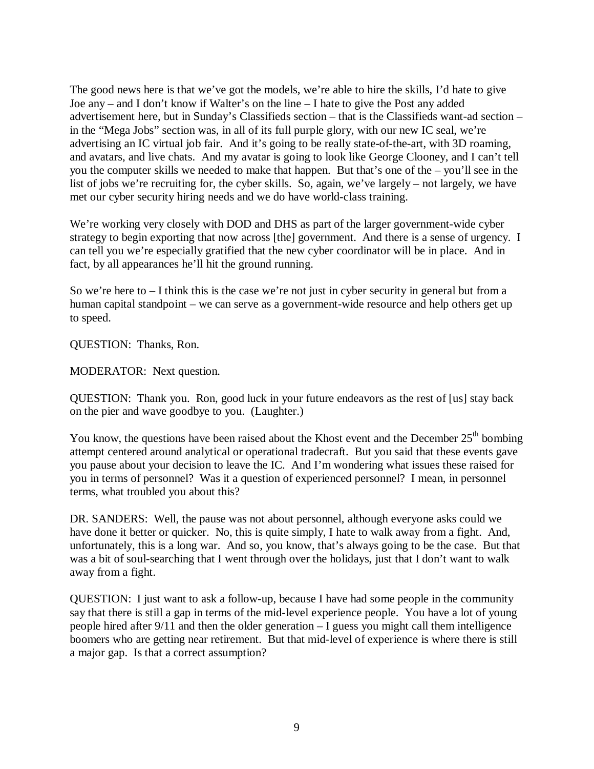The good news here is that we've got the models, we're able to hire the skills, I'd hate to give Joe any – and I don't know if Walter's on the line – I hate to give the Post any added advertisement here, but in Sunday's Classifieds section – that is the Classifieds want-ad section – in the "Mega Jobs" section was, in all of its full purple glory, with our new IC seal, we're advertising an IC virtual job fair. And it's going to be really state-of-the-art, with 3D roaming, and avatars, and live chats. And my avatar is going to look like George Clooney, and I can't tell you the computer skills we needed to make that happen. But that's one of the – you'll see in the list of jobs we're recruiting for, the cyber skills. So, again, we've largely – not largely, we have met our cyber security hiring needs and we do have world-class training.

We're working very closely with DOD and DHS as part of the larger government-wide cyber strategy to begin exporting that now across [the] government. And there is a sense of urgency. I can tell you we're especially gratified that the new cyber coordinator will be in place. And in fact, by all appearances he'll hit the ground running.

So we're here to  $-1$  think this is the case we're not just in cyber security in general but from a human capital standpoint – we can serve as a government-wide resource and help others get up to speed.

QUESTION: Thanks, Ron.

MODERATOR: Next question.

QUESTION: Thank you. Ron, good luck in your future endeavors as the rest of [us] stay back on the pier and wave goodbye to you. (Laughter.)

You know, the questions have been raised about the Khost event and the December  $25<sup>th</sup>$  bombing attempt centered around analytical or operational tradecraft. But you said that these events gave you pause about your decision to leave the IC. And I'm wondering what issues these raised for you in terms of personnel? Was it a question of experienced personnel? I mean, in personnel terms, what troubled you about this?

DR. SANDERS: Well, the pause was not about personnel, although everyone asks could we have done it better or quicker. No, this is quite simply, I hate to walk away from a fight. And, unfortunately, this is a long war. And so, you know, that's always going to be the case. But that was a bit of soul-searching that I went through over the holidays, just that I don't want to walk away from a fight.

QUESTION: I just want to ask a follow-up, because I have had some people in the community say that there is still a gap in terms of the mid-level experience people. You have a lot of young people hired after 9/11 and then the older generation – I guess you might call them intelligence boomers who are getting near retirement. But that mid-level of experience is where there is still a major gap. Is that a correct assumption?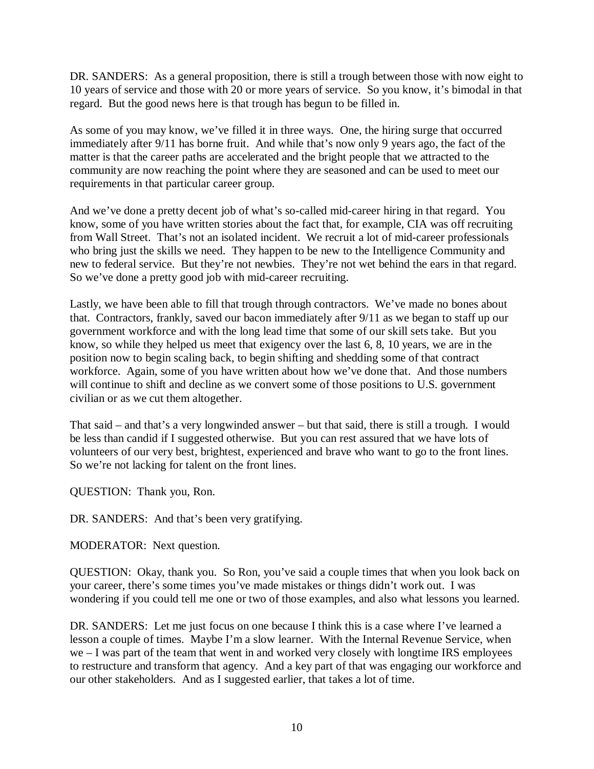DR. SANDERS: As a general proposition, there is still a trough between those with now eight to 10 years of service and those with 20 or more years of service. So you know, it's bimodal in that regard. But the good news here is that trough has begun to be filled in.

As some of you may know, we've filled it in three ways. One, the hiring surge that occurred immediately after 9/11 has borne fruit. And while that's now only 9 years ago, the fact of the matter is that the career paths are accelerated and the bright people that we attracted to the community are now reaching the point where they are seasoned and can be used to meet our requirements in that particular career group.

And we've done a pretty decent job of what's so-called mid-career hiring in that regard. You know, some of you have written stories about the fact that, for example, CIA was off recruiting from Wall Street. That's not an isolated incident. We recruit a lot of mid-career professionals who bring just the skills we need. They happen to be new to the Intelligence Community and new to federal service. But they're not newbies. They're not wet behind the ears in that regard. So we've done a pretty good job with mid-career recruiting.

Lastly, we have been able to fill that trough through contractors. We've made no bones about that. Contractors, frankly, saved our bacon immediately after 9/11 as we began to staff up our government workforce and with the long lead time that some of our skill sets take. But you know, so while they helped us meet that exigency over the last 6, 8, 10 years, we are in the position now to begin scaling back, to begin shifting and shedding some of that contract workforce. Again, some of you have written about how we've done that. And those numbers will continue to shift and decline as we convert some of those positions to U.S. government civilian or as we cut them altogether.

That said – and that's a very longwinded answer – but that said, there is still a trough. I would be less than candid if I suggested otherwise. But you can rest assured that we have lots of volunteers of our very best, brightest, experienced and brave who want to go to the front lines. So we're not lacking for talent on the front lines.

QUESTION: Thank you, Ron.

DR. SANDERS: And that's been very gratifying.

MODERATOR: Next question.

QUESTION: Okay, thank you. So Ron, you've said a couple times that when you look back on your career, there's some times you've made mistakes or things didn't work out. I was wondering if you could tell me one or two of those examples, and also what lessons you learned.

DR. SANDERS: Let me just focus on one because I think this is a case where I've learned a lesson a couple of times. Maybe I'm a slow learner. With the Internal Revenue Service, when we – I was part of the team that went in and worked very closely with longtime IRS employees to restructure and transform that agency. And a key part of that was engaging our workforce and our other stakeholders. And as I suggested earlier, that takes a lot of time.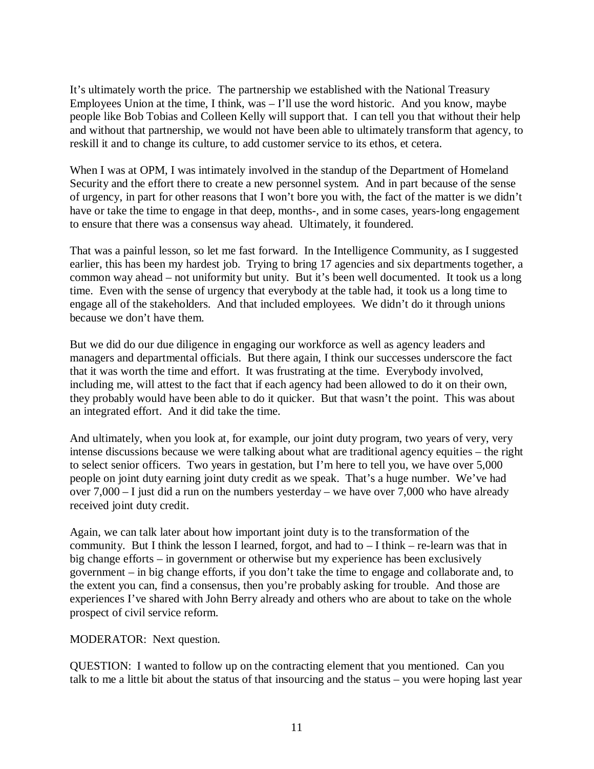It's ultimately worth the price. The partnership we established with the National Treasury Employees Union at the time, I think, was  $-1$ 'll use the word historic. And you know, maybe people like Bob Tobias and Colleen Kelly will support that. I can tell you that without their help and without that partnership, we would not have been able to ultimately transform that agency, to reskill it and to change its culture, to add customer service to its ethos, et cetera.

When I was at OPM, I was intimately involved in the standup of the Department of Homeland Security and the effort there to create a new personnel system. And in part because of the sense of urgency, in part for other reasons that I won't bore you with, the fact of the matter is we didn't have or take the time to engage in that deep, months-, and in some cases, years-long engagement to ensure that there was a consensus way ahead. Ultimately, it foundered.

That was a painful lesson, so let me fast forward. In the Intelligence Community, as I suggested earlier, this has been my hardest job. Trying to bring 17 agencies and six departments together, a common way ahead – not uniformity but unity. But it's been well documented. It took us a long time. Even with the sense of urgency that everybody at the table had, it took us a long time to engage all of the stakeholders. And that included employees. We didn't do it through unions because we don't have them.

But we did do our due diligence in engaging our workforce as well as agency leaders and managers and departmental officials. But there again, I think our successes underscore the fact that it was worth the time and effort. It was frustrating at the time. Everybody involved, including me, will attest to the fact that if each agency had been allowed to do it on their own, they probably would have been able to do it quicker. But that wasn't the point. This was about an integrated effort. And it did take the time.

And ultimately, when you look at, for example, our joint duty program, two years of very, very intense discussions because we were talking about what are traditional agency equities – the right to select senior officers. Two years in gestation, but I'm here to tell you, we have over 5,000 people on joint duty earning joint duty credit as we speak. That's a huge number. We've had over 7,000 – I just did a run on the numbers yesterday – we have over 7,000 who have already received joint duty credit.

Again, we can talk later about how important joint duty is to the transformation of the community. But I think the lesson I learned, forgot, and had to – I think – re-learn was that in big change efforts – in government or otherwise but my experience has been exclusively government – in big change efforts, if you don't take the time to engage and collaborate and, to the extent you can, find a consensus, then you're probably asking for trouble. And those are experiences I've shared with John Berry already and others who are about to take on the whole prospect of civil service reform.

## MODERATOR: Next question.

QUESTION: I wanted to follow up on the contracting element that you mentioned. Can you talk to me a little bit about the status of that insourcing and the status – you were hoping last year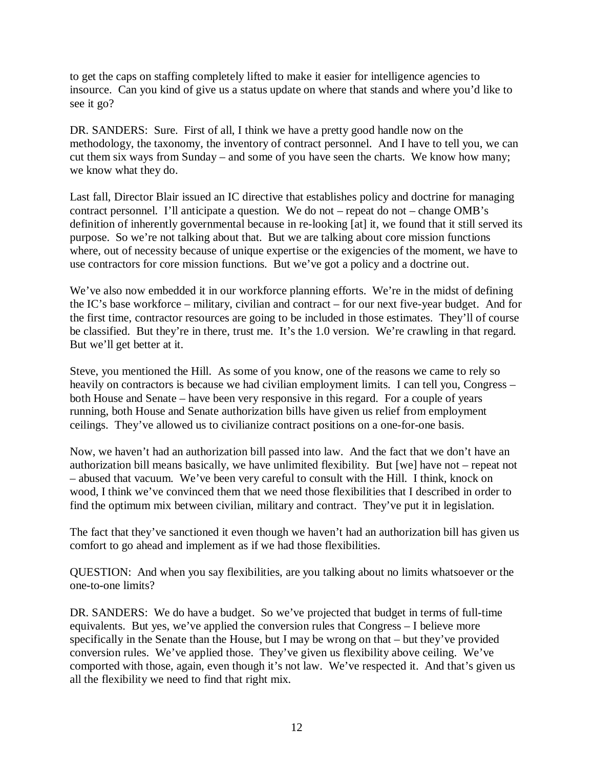to get the caps on staffing completely lifted to make it easier for intelligence agencies to insource. Can you kind of give us a status update on where that stands and where you'd like to see it go?

DR. SANDERS: Sure. First of all, I think we have a pretty good handle now on the methodology, the taxonomy, the inventory of contract personnel. And I have to tell you, we can cut them six ways from Sunday – and some of you have seen the charts. We know how many; we know what they do.

Last fall, Director Blair issued an IC directive that establishes policy and doctrine for managing contract personnel. I'll anticipate a question. We do not – repeat do not – change OMB's definition of inherently governmental because in re-looking [at] it, we found that it still served its purpose. So we're not talking about that. But we are talking about core mission functions where, out of necessity because of unique expertise or the exigencies of the moment, we have to use contractors for core mission functions. But we've got a policy and a doctrine out.

We've also now embedded it in our workforce planning efforts. We're in the midst of defining the IC's base workforce – military, civilian and contract – for our next five-year budget. And for the first time, contractor resources are going to be included in those estimates. They'll of course be classified. But they're in there, trust me. It's the 1.0 version. We're crawling in that regard. But we'll get better at it.

Steve, you mentioned the Hill. As some of you know, one of the reasons we came to rely so heavily on contractors is because we had civilian employment limits. I can tell you, Congress – both House and Senate – have been very responsive in this regard. For a couple of years running, both House and Senate authorization bills have given us relief from employment ceilings. They've allowed us to civilianize contract positions on a one-for-one basis.

Now, we haven't had an authorization bill passed into law. And the fact that we don't have an authorization bill means basically, we have unlimited flexibility. But [we] have not – repeat not – abused that vacuum. We've been very careful to consult with the Hill. I think, knock on wood, I think we've convinced them that we need those flexibilities that I described in order to find the optimum mix between civilian, military and contract. They've put it in legislation.

The fact that they've sanctioned it even though we haven't had an authorization bill has given us comfort to go ahead and implement as if we had those flexibilities.

QUESTION: And when you say flexibilities, are you talking about no limits whatsoever or the one-to-one limits?

DR. SANDERS: We do have a budget. So we've projected that budget in terms of full-time equivalents. But yes, we've applied the conversion rules that Congress – I believe more specifically in the Senate than the House, but I may be wrong on that – but they've provided conversion rules. We've applied those. They've given us flexibility above ceiling. We've comported with those, again, even though it's not law. We've respected it. And that's given us all the flexibility we need to find that right mix.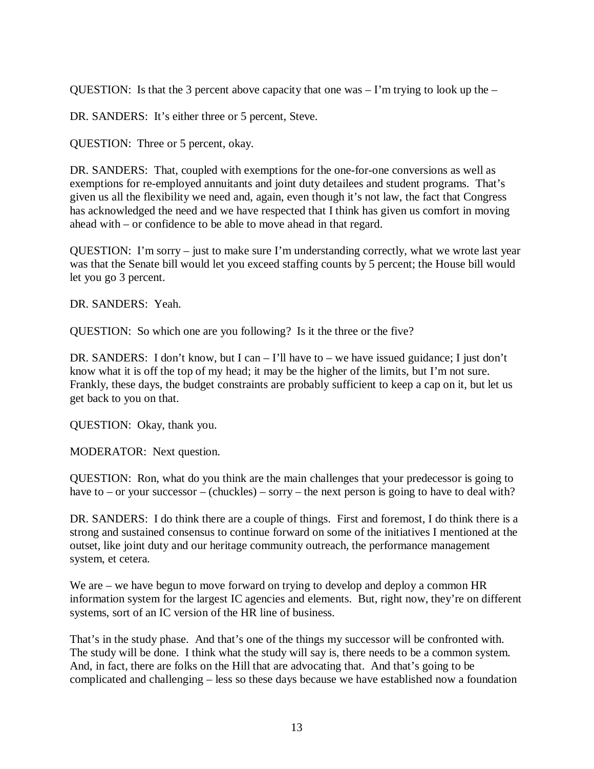QUESTION: Is that the 3 percent above capacity that one was  $-1$ 'm trying to look up the  $-$ 

DR. SANDERS: It's either three or 5 percent, Steve.

QUESTION: Three or 5 percent, okay.

DR. SANDERS: That, coupled with exemptions for the one-for-one conversions as well as exemptions for re-employed annuitants and joint duty detailees and student programs. That's given us all the flexibility we need and, again, even though it's not law, the fact that Congress has acknowledged the need and we have respected that I think has given us comfort in moving ahead with – or confidence to be able to move ahead in that regard.

QUESTION: I'm sorry – just to make sure I'm understanding correctly, what we wrote last year was that the Senate bill would let you exceed staffing counts by 5 percent; the House bill would let you go 3 percent.

DR. SANDERS: Yeah.

QUESTION: So which one are you following? Is it the three or the five?

DR. SANDERS: I don't know, but I can – I'll have to – we have issued guidance; I just don't know what it is off the top of my head; it may be the higher of the limits, but I'm not sure. Frankly, these days, the budget constraints are probably sufficient to keep a cap on it, but let us get back to you on that.

QUESTION: Okay, thank you.

MODERATOR: Next question.

QUESTION: Ron, what do you think are the main challenges that your predecessor is going to have to – or your successor – (chuckles) – sorry – the next person is going to have to deal with?

DR. SANDERS: I do think there are a couple of things. First and foremost, I do think there is a strong and sustained consensus to continue forward on some of the initiatives I mentioned at the outset, like joint duty and our heritage community outreach, the performance management system, et cetera.

We are – we have begun to move forward on trying to develop and deploy a common HR information system for the largest IC agencies and elements. But, right now, they're on different systems, sort of an IC version of the HR line of business.

That's in the study phase. And that's one of the things my successor will be confronted with. The study will be done. I think what the study will say is, there needs to be a common system. And, in fact, there are folks on the Hill that are advocating that. And that's going to be complicated and challenging – less so these days because we have established now a foundation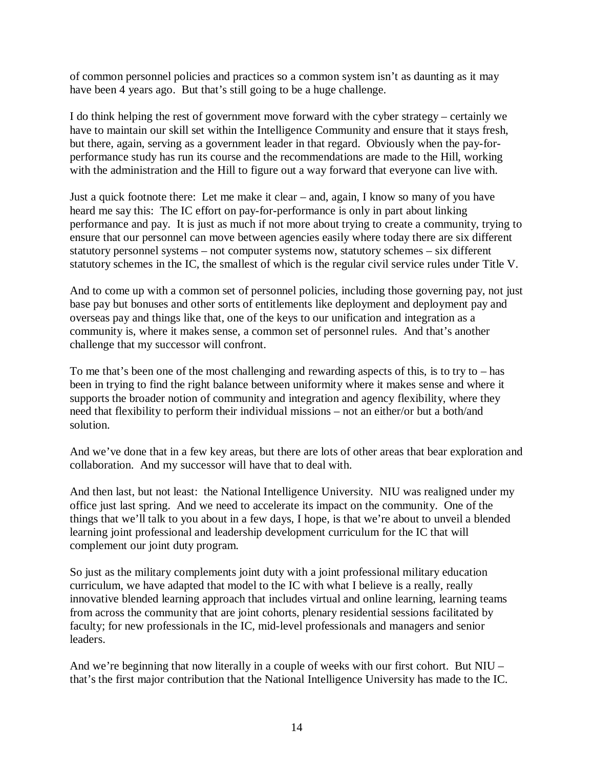of common personnel policies and practices so a common system isn't as daunting as it may have been 4 years ago. But that's still going to be a huge challenge.

I do think helping the rest of government move forward with the cyber strategy – certainly we have to maintain our skill set within the Intelligence Community and ensure that it stays fresh, but there, again, serving as a government leader in that regard. Obviously when the pay-forperformance study has run its course and the recommendations are made to the Hill, working with the administration and the Hill to figure out a way forward that everyone can live with.

Just a quick footnote there: Let me make it clear – and, again, I know so many of you have heard me say this: The IC effort on pay-for-performance is only in part about linking performance and pay. It is just as much if not more about trying to create a community, trying to ensure that our personnel can move between agencies easily where today there are six different statutory personnel systems – not computer systems now, statutory schemes – six different statutory schemes in the IC, the smallest of which is the regular civil service rules under Title V.

And to come up with a common set of personnel policies, including those governing pay, not just base pay but bonuses and other sorts of entitlements like deployment and deployment pay and overseas pay and things like that, one of the keys to our unification and integration as a community is, where it makes sense, a common set of personnel rules. And that's another challenge that my successor will confront.

To me that's been one of the most challenging and rewarding aspects of this, is to try to  $-$  has been in trying to find the right balance between uniformity where it makes sense and where it supports the broader notion of community and integration and agency flexibility, where they need that flexibility to perform their individual missions – not an either/or but a both/and solution.

And we've done that in a few key areas, but there are lots of other areas that bear exploration and collaboration. And my successor will have that to deal with.

And then last, but not least: the National Intelligence University. NIU was realigned under my office just last spring. And we need to accelerate its impact on the community. One of the things that we'll talk to you about in a few days, I hope, is that we're about to unveil a blended learning joint professional and leadership development curriculum for the IC that will complement our joint duty program.

So just as the military complements joint duty with a joint professional military education curriculum, we have adapted that model to the IC with what I believe is a really, really innovative blended learning approach that includes virtual and online learning, learning teams from across the community that are joint cohorts, plenary residential sessions facilitated by faculty; for new professionals in the IC, mid-level professionals and managers and senior leaders.

And we're beginning that now literally in a couple of weeks with our first cohort. But NIU – that's the first major contribution that the National Intelligence University has made to the IC.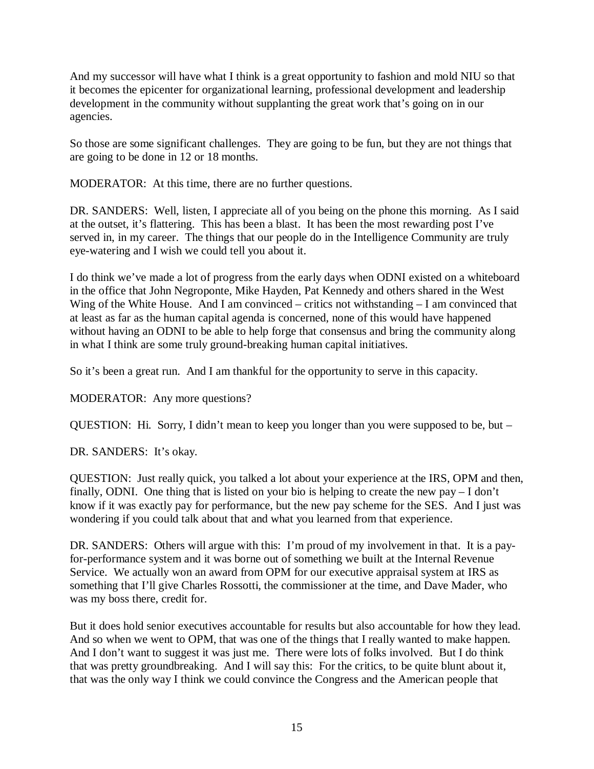And my successor will have what I think is a great opportunity to fashion and mold NIU so that it becomes the epicenter for organizational learning, professional development and leadership development in the community without supplanting the great work that's going on in our agencies.

So those are some significant challenges. They are going to be fun, but they are not things that are going to be done in 12 or 18 months.

MODERATOR: At this time, there are no further questions.

DR. SANDERS: Well, listen, I appreciate all of you being on the phone this morning. As I said at the outset, it's flattering. This has been a blast. It has been the most rewarding post I've served in, in my career. The things that our people do in the Intelligence Community are truly eye-watering and I wish we could tell you about it.

I do think we've made a lot of progress from the early days when ODNI existed on a whiteboard in the office that John Negroponte, Mike Hayden, Pat Kennedy and others shared in the West Wing of the White House. And I am convinced – critics not withstanding – I am convinced that at least as far as the human capital agenda is concerned, none of this would have happened without having an ODNI to be able to help forge that consensus and bring the community along in what I think are some truly ground-breaking human capital initiatives.

So it's been a great run. And I am thankful for the opportunity to serve in this capacity.

MODERATOR: Any more questions?

QUESTION: Hi. Sorry, I didn't mean to keep you longer than you were supposed to be, but –

DR. SANDERS: It's okay.

QUESTION: Just really quick, you talked a lot about your experience at the IRS, OPM and then, finally, ODNI. One thing that is listed on your bio is helping to create the new pay – I don't know if it was exactly pay for performance, but the new pay scheme for the SES. And I just was wondering if you could talk about that and what you learned from that experience.

DR. SANDERS: Others will argue with this: I'm proud of my involvement in that. It is a payfor-performance system and it was borne out of something we built at the Internal Revenue Service. We actually won an award from OPM for our executive appraisal system at IRS as something that I'll give Charles Rossotti, the commissioner at the time, and Dave Mader, who was my boss there, credit for.

But it does hold senior executives accountable for results but also accountable for how they lead. And so when we went to OPM, that was one of the things that I really wanted to make happen. And I don't want to suggest it was just me. There were lots of folks involved. But I do think that was pretty groundbreaking. And I will say this: For the critics, to be quite blunt about it, that was the only way I think we could convince the Congress and the American people that